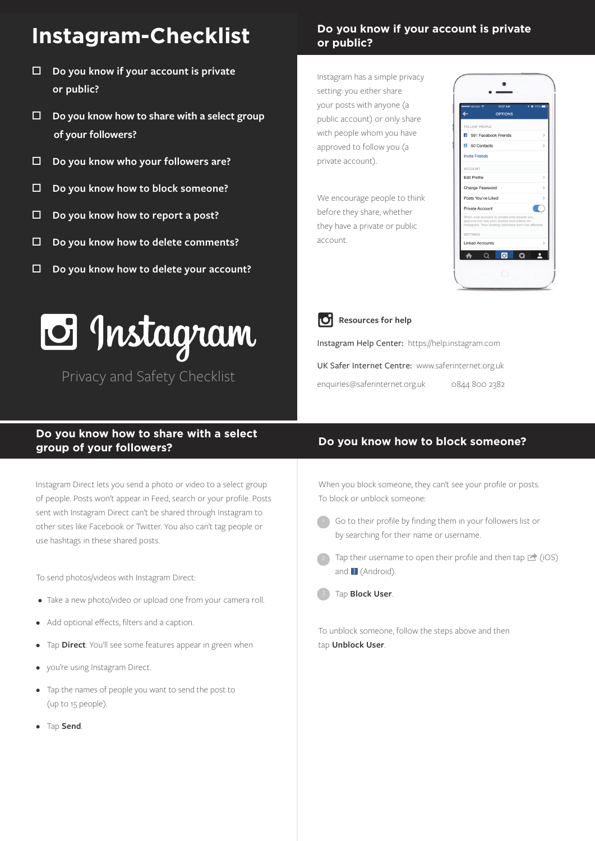# **Instagram-Checklist**

- □ Do you know if your account is private  **or public?**
- □ Do you know how to share with a select group  **of your followers?**
- o **Do you know who your followers are?**
- □ Do you know how to block someone?
- o **Do you know how to report a post?**
- o **Do you know how to delete comments?**
- □ Do you know how to delete your account?



Privacy and Safety Checklist

# **Do you know if your account is private or public?**

Instagram has a simple privacy setting: you either share your posts with anyone (a public account) or only share with people whom you have approved to follow you (a private account).

We encourage people to think before they share, whether they have a private or public account.



**Resources for help** 

Instagram Help Center: https://help.instagram.com UK Safer Internet Centre: www.saferinternet.org.uk enquiries@saferinternet.org.uk 0844 800 2382

# **Do you know how to share with a select group of your followers? Do you know how to block someone?**

Instagram Direct lets you send a photo or video to a select group of people. Posts won't appear in Feed, search or your profile. Posts sent with Instagram Direct can't be shared through Instagram to other sites like Facebook or Twitter. You also can't tag people or use hashtags in these shared posts.

To send photos/videos with Instagram Direct:

- Take a new photo/video or upload one from your camera roll.
- Add optional effects, filters and a caption.
- Tap **Direct**. You'll see some features appear in green when
- you're using Instagram Direct.
- Tap the names of people you want to send the post to (up to 15 people).
- Tap **Send**.

When you block someone, they can't see your profile or posts. To block or unblock someone:

- 1) Go to their profile by finding them in your followers list or by searching for their name or username.
- Tap their username to open their profile and then tap  $\Box$  (iOS) and  $\blacksquare$  (Android).
- Tap **Block User**.

To unblock someone, follow the steps above and then tap **Unblock User**.